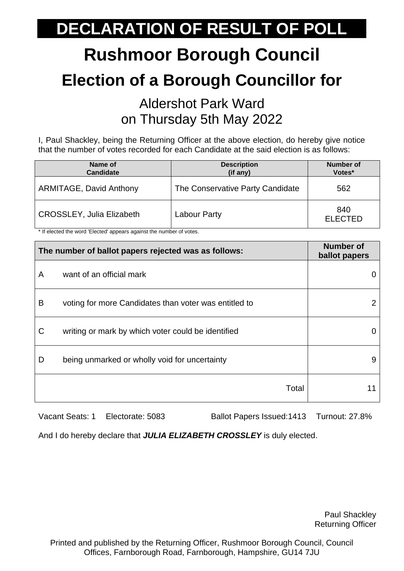# **Rushmoor Borough Council Election of a Borough Councillor for**

#### Aldershot Park Ward on Thursday 5th May 2022

I, Paul Shackley, being the Returning Officer at the above election, do hereby give notice that the number of votes recorded for each Candidate at the said election is as follows:

| Name of<br>Candidate             | <b>Description</b><br>(if any)   | <b>Number of</b><br>Votes* |
|----------------------------------|----------------------------------|----------------------------|
| <b>ARMITAGE, David Anthony</b>   | The Conservative Party Candidate | 562                        |
| <b>CROSSLEY, Julia Elizabeth</b> | Labour Party                     | 840<br><b>ELECTED</b>      |

\* If elected the word 'Elected' appears against the number of votes.

| The number of ballot papers rejected was as follows: |                                                       | <b>Number of</b><br>ballot papers |
|------------------------------------------------------|-------------------------------------------------------|-----------------------------------|
| A                                                    | want of an official mark                              |                                   |
| B                                                    | voting for more Candidates than voter was entitled to | 2                                 |
| C                                                    | writing or mark by which voter could be identified    |                                   |
| D                                                    | being unmarked or wholly void for uncertainty         | 9                                 |
|                                                      | Total                                                 |                                   |

Vacant Seats: 1 Electorate: 5083 Ballot Papers Issued:1413 Turnout: 27.8%

And I do hereby declare that *JULIA ELIZABETH CROSSLEY* is duly elected.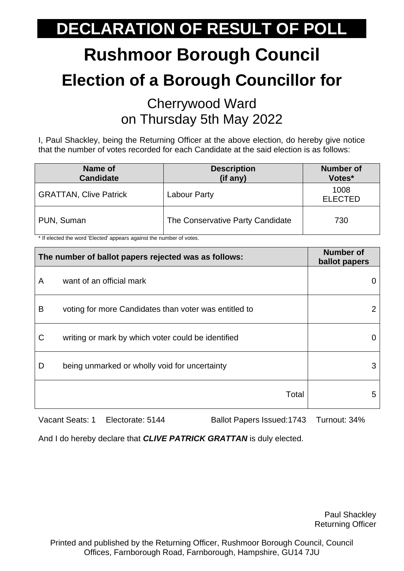# **Rushmoor Borough Council Election of a Borough Councillor for**

#### Cherrywood Ward on Thursday 5th May 2022

I, Paul Shackley, being the Returning Officer at the above election, do hereby give notice that the number of votes recorded for each Candidate at the said election is as follows:

| Name of<br><b>Candidate</b>   | <b>Description</b><br>(if any)   | <b>Number of</b><br>Votes* |
|-------------------------------|----------------------------------|----------------------------|
| <b>GRATTAN, Clive Patrick</b> | Labour Party                     | 1008<br><b>ELECTED</b>     |
| PUN, Suman                    | The Conservative Party Candidate | 730                        |

\* If elected the word 'Elected' appears against the number of votes.

| The number of ballot papers rejected was as follows: |                                                       | <b>Number of</b><br>ballot papers |
|------------------------------------------------------|-------------------------------------------------------|-----------------------------------|
| A                                                    | want of an official mark                              |                                   |
| B                                                    | voting for more Candidates than voter was entitled to | 2                                 |
| C                                                    | writing or mark by which voter could be identified    |                                   |
| D                                                    | being unmarked or wholly void for uncertainty         | 3                                 |
|                                                      | Total                                                 | 5                                 |

Vacant Seats: 1 Electorate: 5144 Ballot Papers Issued:1743 Turnout: 34%

And I do hereby declare that *CLIVE PATRICK GRATTAN* is duly elected.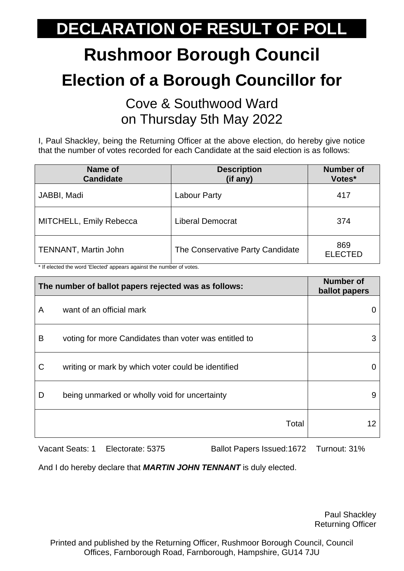# **Rushmoor Borough Council Election of a Borough Councillor for**

Cove & Southwood Ward on Thursday 5th May 2022

I, Paul Shackley, being the Returning Officer at the above election, do hereby give notice that the number of votes recorded for each Candidate at the said election is as follows:

| Name of<br><b>Candidate</b> | <b>Description</b><br>(if any)   | <b>Number of</b><br>Votes* |
|-----------------------------|----------------------------------|----------------------------|
| JABBI, Madi                 | <b>Labour Party</b>              | 417                        |
| MITCHELL, Emily Rebecca     | <b>Liberal Democrat</b>          | 374                        |
| <b>TENNANT, Martin John</b> | The Conservative Party Candidate | 869<br><b>ELECTED</b>      |

\* If elected the word 'Elected' appears against the number of votes.

| The number of ballot papers rejected was as follows: |                                                       | <b>Number of</b><br>ballot papers |
|------------------------------------------------------|-------------------------------------------------------|-----------------------------------|
| A                                                    | want of an official mark                              |                                   |
| B                                                    | voting for more Candidates than voter was entitled to | 3                                 |
| C                                                    | writing or mark by which voter could be identified    |                                   |
| D                                                    | being unmarked or wholly void for uncertainty         | 9                                 |
|                                                      | Total                                                 |                                   |

Vacant Seats: 1 Electorate: 5375 Ballot Papers Issued:1672 Turnout: 31%

And I do hereby declare that *MARTIN JOHN TENNANT* is duly elected.

Paul Shackley Returning Officer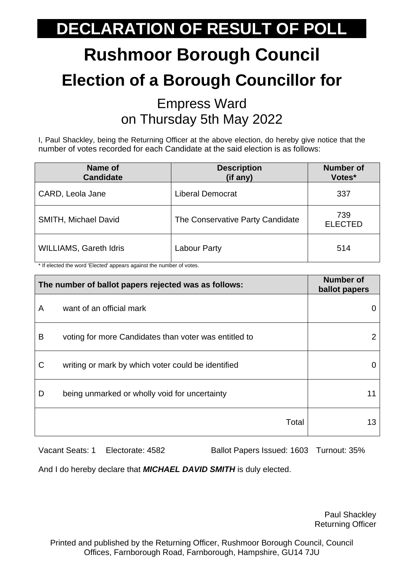# **Rushmoor Borough Council Election of a Borough Councillor for**

#### Empress Ward on Thursday 5th May 2022

I, Paul Shackley, being the Returning Officer at the above election, do hereby give notice that the number of votes recorded for each Candidate at the said election is as follows:

| Name of<br><b>Candidate</b>   | <b>Description</b><br>(if any)   | <b>Number of</b><br>Votes* |
|-------------------------------|----------------------------------|----------------------------|
| CARD, Leola Jane              | <b>Liberal Democrat</b>          | 337                        |
| <b>SMITH, Michael David</b>   | The Conservative Party Candidate | 739<br><b>ELECTED</b>      |
| <b>WILLIAMS, Gareth Idris</b> | <b>Labour Party</b>              | 514                        |

\* If elected the word 'Elected' appears against the number of votes.

| The number of ballot papers rejected was as follows: |                                                       | <b>Number of</b><br>ballot papers |
|------------------------------------------------------|-------------------------------------------------------|-----------------------------------|
| A                                                    | want of an official mark                              |                                   |
| B                                                    | voting for more Candidates than voter was entitled to |                                   |
| C                                                    | writing or mark by which voter could be identified    |                                   |
| D                                                    | being unmarked or wholly void for uncertainty         | 11                                |
|                                                      | Total                                                 | 13                                |

Vacant Seats: 1 Electorate: 4582 Ballot Papers Issued: 1603 Turnout: 35%

And I do hereby declare that *MICHAEL DAVID SMITH* is duly elected.

Paul Shackley Returning Officer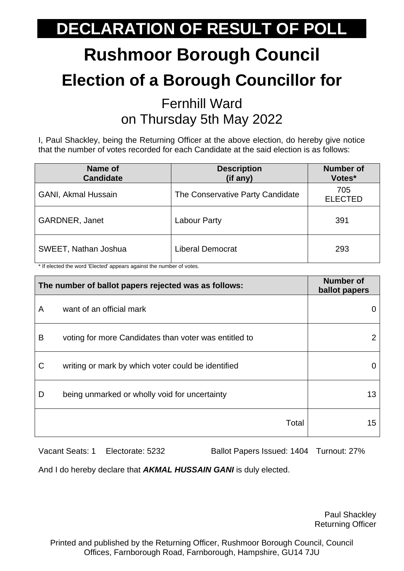# **Rushmoor Borough Council Election of a Borough Councillor for**

#### Fernhill Ward on Thursday 5th May 2022

I, Paul Shackley, being the Returning Officer at the above election, do hereby give notice that the number of votes recorded for each Candidate at the said election is as follows:

| Name of<br><b>Candidate</b> | <b>Description</b><br>(if any)   | <b>Number of</b><br>Votes* |
|-----------------------------|----------------------------------|----------------------------|
| <b>GANI, Akmal Hussain</b>  | The Conservative Party Candidate | 705<br><b>ELECTED</b>      |
| <b>GARDNER, Janet</b>       | Labour Party                     | 391                        |
| SWEET, Nathan Joshua        | Liberal Democrat                 | 293                        |

\* If elected the word 'Elected' appears against the number of votes.

| The number of ballot papers rejected was as follows: |                                                       | <b>Number of</b><br>ballot papers |
|------------------------------------------------------|-------------------------------------------------------|-----------------------------------|
| A                                                    | want of an official mark                              |                                   |
| B                                                    | voting for more Candidates than voter was entitled to | 2                                 |
| C                                                    | writing or mark by which voter could be identified    |                                   |
| D                                                    | being unmarked or wholly void for uncertainty         | 13                                |
|                                                      | Total                                                 | 15                                |

Vacant Seats: 1 Electorate: 5232 Ballot Papers Issued: 1404 Turnout: 27%

And I do hereby declare that *AKMAL HUSSAIN GANI* is duly elected.

Paul Shackley Returning Officer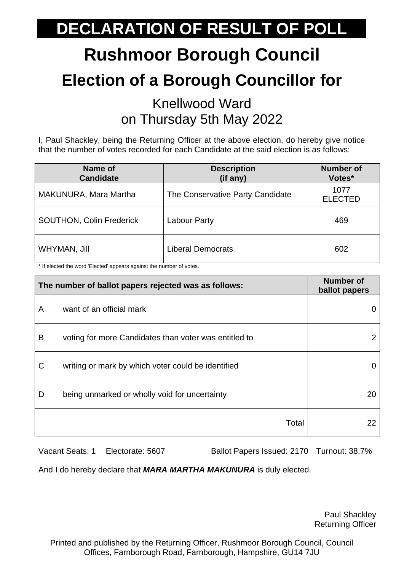# **Rushmoor Borough Council Election of a Borough Councillor for**

#### Knellwood Ward on Thursday 5th May 2022

I, Paul Shackley, being the Returning Officer at the above election, do hereby give notice that the number of votes recorded for each Candidate at the said election is as follows:

| Name of<br><b>Candidate</b>     | <b>Description</b><br>(if any)   | <b>Number</b> of<br>Votes* |
|---------------------------------|----------------------------------|----------------------------|
| MAKUNURA, Mara Martha           | The Conservative Party Candidate | 1077<br><b>ELECTED</b>     |
| <b>SOUTHON, Colin Frederick</b> | Labour Party                     | 469                        |
| WHYMAN, Jill                    | <b>Liberal Democrats</b>         | 602                        |

\* If elected the word 'Elected' appears against the number of votes.

| The number of ballot papers rejected was as follows: |                                                       | <b>Number of</b><br>ballot papers |
|------------------------------------------------------|-------------------------------------------------------|-----------------------------------|
| A                                                    | want of an official mark                              |                                   |
| B                                                    | voting for more Candidates than voter was entitled to | 2                                 |
| C                                                    | writing or mark by which voter could be identified    |                                   |
| D                                                    | being unmarked or wholly void for uncertainty         | 20                                |
|                                                      | Total                                                 | 22                                |

Vacant Seats: 1 Electorate: 5607 Ballot Papers Issued: 2170 Turnout: 38.7%

And I do hereby declare that *MARA MARTHA MAKUNURA* is duly elected.

Paul Shackley Returning Officer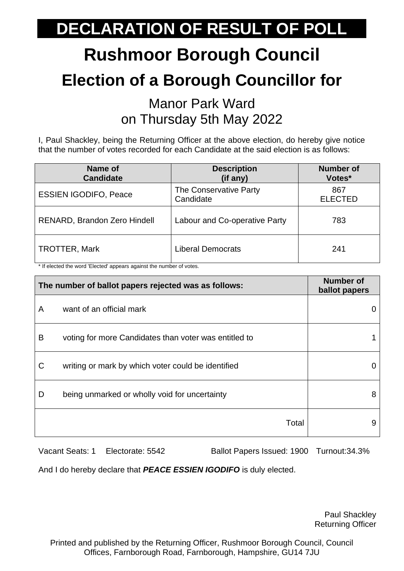# **Rushmoor Borough Council Election of a Borough Councillor for**

#### Manor Park Ward on Thursday 5th May 2022

I, Paul Shackley, being the Returning Officer at the above election, do hereby give notice that the number of votes recorded for each Candidate at the said election is as follows:

| Name of<br><b>Candidate</b>         | <b>Description</b><br>(if any)      | <b>Number of</b><br>Votes* |
|-------------------------------------|-------------------------------------|----------------------------|
| <b>ESSIEN IGODIFO, Peace</b>        | The Conservative Party<br>Candidate | 867<br><b>ELECTED</b>      |
| <b>RENARD, Brandon Zero Hindell</b> | Labour and Co-operative Party       | 783                        |
| <b>TROTTER, Mark</b>                | <b>Liberal Democrats</b>            | 241                        |

\* If elected the word 'Elected' appears against the number of votes.

| The number of ballot papers rejected was as follows: |                                                       | <b>Number of</b><br>ballot papers |
|------------------------------------------------------|-------------------------------------------------------|-----------------------------------|
| A                                                    | want of an official mark                              |                                   |
| B                                                    | voting for more Candidates than voter was entitled to |                                   |
| C                                                    | writing or mark by which voter could be identified    |                                   |
| D                                                    | being unmarked or wholly void for uncertainty         | 8                                 |
|                                                      | Total                                                 | 9                                 |

Vacant Seats: 1 Electorate: 5542 Ballot Papers Issued: 1900 Turnout:34.3%

And I do hereby declare that *PEACE ESSIEN IGODIFO* is duly elected.

Paul Shackley Returning Officer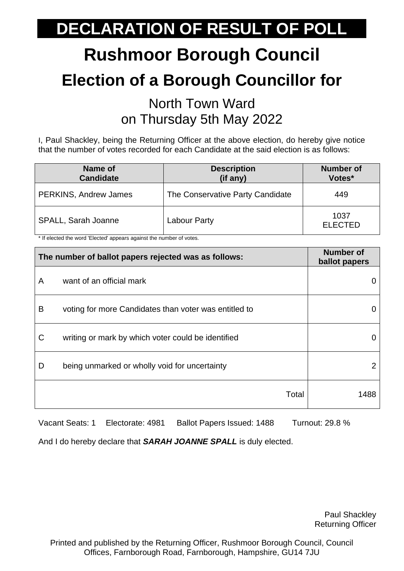# **Rushmoor Borough Council Election of a Borough Councillor for**

#### North Town Ward on Thursday 5th May 2022

I, Paul Shackley, being the Returning Officer at the above election, do hereby give notice that the number of votes recorded for each Candidate at the said election is as follows:

| Name of<br><b>Candidate</b>  | <b>Description</b><br>(if any)   | <b>Number of</b><br>Votes* |
|------------------------------|----------------------------------|----------------------------|
| <b>PERKINS, Andrew James</b> | The Conservative Party Candidate | 449                        |
| SPALL, Sarah Joanne          | Labour Party                     | 1037<br><b>ELECTED</b>     |

\* If elected the word 'Elected' appears against the number of votes.

| The number of ballot papers rejected was as follows: |                                                       | <b>Number of</b><br>ballot papers |
|------------------------------------------------------|-------------------------------------------------------|-----------------------------------|
| A                                                    | want of an official mark                              |                                   |
| B                                                    | voting for more Candidates than voter was entitled to |                                   |
| C                                                    | writing or mark by which voter could be identified    |                                   |
| D                                                    | being unmarked or wholly void for uncertainty         | 2                                 |
|                                                      | Total                                                 | 1488                              |

Vacant Seats: 1 Electorate: 4981 Ballot Papers Issued: 1488 Turnout: 29.8 %

And I do hereby declare that *SARAH JOANNE SPALL* is duly elected.

Paul Shackley Returning Officer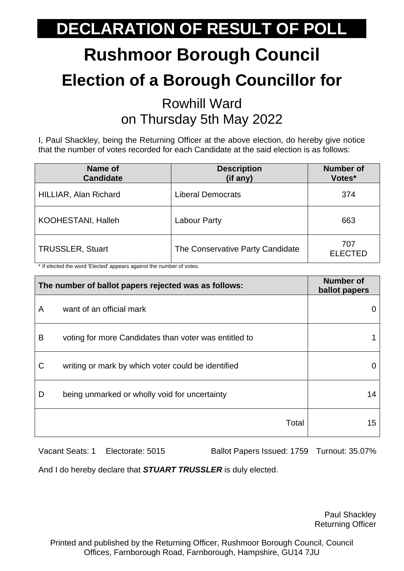# **Rushmoor Borough Council Election of a Borough Councillor for**

#### Rowhill Ward on Thursday 5th May 2022

I, Paul Shackley, being the Returning Officer at the above election, do hereby give notice that the number of votes recorded for each Candidate at the said election is as follows:

| Name of<br><b>Candidate</b> | <b>Description</b><br>(if any)   | <b>Number of</b><br>Votes* |
|-----------------------------|----------------------------------|----------------------------|
| HILLIAR, Alan Richard       | <b>Liberal Democrats</b>         | 374                        |
| <b>KOOHESTANI, Halleh</b>   | <b>Labour Party</b>              | 663                        |
| <b>TRUSSLER, Stuart</b>     | The Conservative Party Candidate | 707<br><b>ELECTED</b>      |

\* If elected the word 'Elected' appears against the number of votes.

| The number of ballot papers rejected was as follows: |                                                       | <b>Number of</b><br>ballot papers |
|------------------------------------------------------|-------------------------------------------------------|-----------------------------------|
| A                                                    | want of an official mark                              |                                   |
| B                                                    | voting for more Candidates than voter was entitled to |                                   |
| C                                                    | writing or mark by which voter could be identified    |                                   |
| D                                                    | being unmarked or wholly void for uncertainty         | 14                                |
|                                                      | Total                                                 | 15                                |

Vacant Seats: 1 Electorate: 5015 Ballot Papers Issued: 1759 Turnout: 35.07%

And I do hereby declare that *STUART TRUSSLER* is duly elected.

Paul Shackley Returning Officer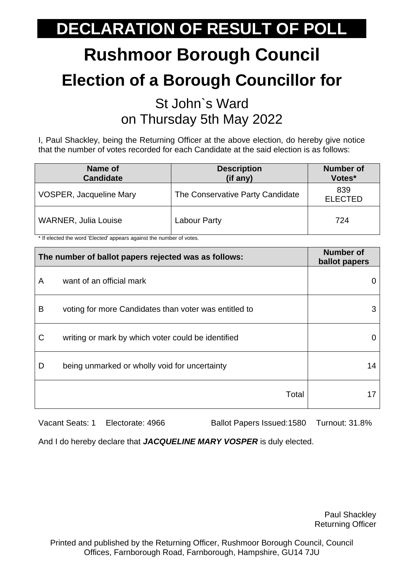# **Rushmoor Borough Council Election of a Borough Councillor for**

#### St John`s Ward on Thursday 5th May 2022

I, Paul Shackley, being the Returning Officer at the above election, do hereby give notice that the number of votes recorded for each Candidate at the said election is as follows:

| Name of<br><b>Candidate</b>    | <b>Description</b><br>(if any)   | <b>Number of</b><br>Votes* |
|--------------------------------|----------------------------------|----------------------------|
| <b>VOSPER, Jacqueline Mary</b> | The Conservative Party Candidate | 839<br><b>ELECTED</b>      |
| <b>WARNER, Julia Louise</b>    | Labour Party                     | 724                        |

\* If elected the word 'Elected' appears against the number of votes.

| The number of ballot papers rejected was as follows: |                                                       | <b>Number of</b><br>ballot papers |
|------------------------------------------------------|-------------------------------------------------------|-----------------------------------|
| A                                                    | want of an official mark                              |                                   |
| B                                                    | voting for more Candidates than voter was entitled to | 3                                 |
| C                                                    | writing or mark by which voter could be identified    |                                   |
| D                                                    | being unmarked or wholly void for uncertainty         | 14                                |
|                                                      | Total                                                 |                                   |

Vacant Seats: 1 Electorate: 4966 Ballot Papers Issued: 1580 Turnout: 31.8%

And I do hereby declare that *JACQUELINE MARY VOSPER* is duly elected.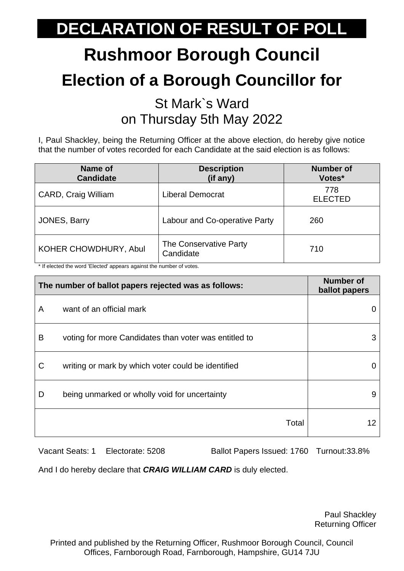# **Rushmoor Borough Council Election of a Borough Councillor for**

#### St Mark`s Ward on Thursday 5th May 2022

I, Paul Shackley, being the Returning Officer at the above election, do hereby give notice that the number of votes recorded for each Candidate at the said election is as follows:

| Name of<br><b>Candidate</b> | <b>Description</b><br>(if any)      | <b>Number of</b><br>Votes* |
|-----------------------------|-------------------------------------|----------------------------|
| CARD, Craig William         | <b>Liberal Democrat</b>             | 778<br><b>ELECTED</b>      |
| JONES, Barry                | Labour and Co-operative Party       | 260                        |
| KOHER CHOWDHURY, Abul       | The Conservative Party<br>Candidate | 710                        |

\* If elected the word 'Elected' appears against the number of votes.

| The number of ballot papers rejected was as follows: |                                                       | <b>Number of</b><br>ballot papers |
|------------------------------------------------------|-------------------------------------------------------|-----------------------------------|
| A                                                    | want of an official mark                              |                                   |
| B                                                    | voting for more Candidates than voter was entitled to | 3                                 |
| C                                                    | writing or mark by which voter could be identified    |                                   |
| D                                                    | being unmarked or wholly void for uncertainty         | 9                                 |
|                                                      | Total                                                 | 12                                |

Vacant Seats: 1 Electorate: 5208 Ballot Papers Issued: 1760 Turnout:33.8%

And I do hereby declare that *CRAIG WILLIAM CARD* is duly elected.

Paul Shackley Returning Officer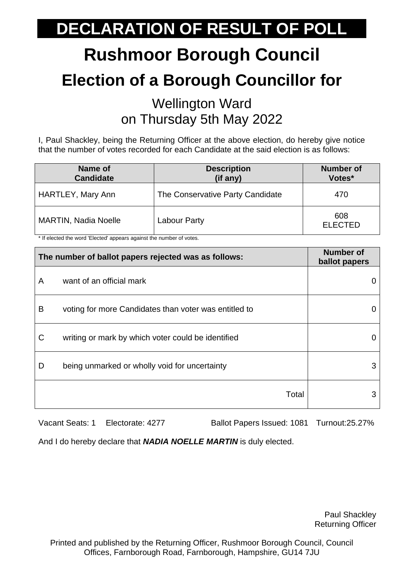# **Rushmoor Borough Council Election of a Borough Councillor for**

#### Wellington Ward on Thursday 5th May 2022

I, Paul Shackley, being the Returning Officer at the above election, do hereby give notice that the number of votes recorded for each Candidate at the said election is as follows:

| Name of<br><b>Candidate</b> | <b>Description</b><br>(if any)   | <b>Number of</b><br>Votes* |
|-----------------------------|----------------------------------|----------------------------|
| HARTLEY, Mary Ann           | The Conservative Party Candidate | 470                        |
| <b>MARTIN, Nadia Noelle</b> | Labour Party                     | 608<br><b>ELECTED</b>      |

\* If elected the word 'Elected' appears against the number of votes.

| The number of ballot papers rejected was as follows: |                                                       | <b>Number of</b><br>ballot papers |
|------------------------------------------------------|-------------------------------------------------------|-----------------------------------|
| A                                                    | want of an official mark                              |                                   |
| B                                                    | voting for more Candidates than voter was entitled to |                                   |
| C                                                    | writing or mark by which voter could be identified    |                                   |
| D                                                    | being unmarked or wholly void for uncertainty         | З                                 |
|                                                      | Total                                                 |                                   |

Vacant Seats: 1 Electorate: 4277 Ballot Papers Issued: 1081 Turnout:25.27%

And I do hereby declare that *NADIA NOELLE MARTIN* is duly elected.